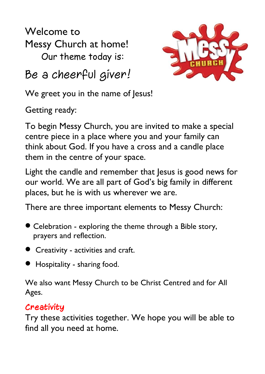Welcome to Messy Church at home! Our theme today is:



Be a cheerful giver!

We greet you in the name of Jesus!

Getting ready:

To begin Messy Church, you are invited to make a special centre piece in a place where you and your family can think about God. If you have a cross and a candle place them in the centre of your space.

Light the candle and remember that Jesus is good news for our world. We are all part of God's big family in different places, but he is with us wherever we are.

There are three important elements to Messy Church:

- Celebration exploring the theme through a Bible story, prayers and reflection.
- Creativity activities and craft.
- Hospitality sharing food.

We also want Messy Church to be Christ Centred and for All Ages.

## **Creativity**

Try these activities together. We hope you will be able to find all you need at home.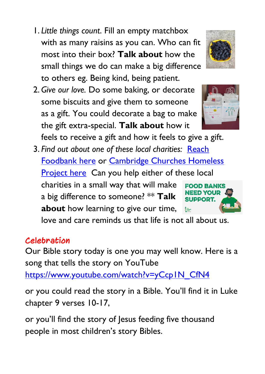- 1. *Little things count*. Fill an empty matchbox with as many raisins as you can. Who can fit most into their box? **Talk about** how the small things we do can make a big difference to others eg. Being kind, being patient.
- 2. *Give our love.* Do some baking, or decorate some biscuits and give them to someone as a gift. You could decorate a bag to make the gift extra-special. **Talk about** how it

feels to receive a gift and how it feels to give a gift.

3. *Find out about one of these local charities:* [Reach](https://www.reachhaverhill.org.uk/Groups/263290/Foodbank.aspx)  [Foodbank here](https://www.reachhaverhill.org.uk/Groups/263290/Foodbank.aspx) or [Cambridge Churches Homeless](https://www.cchp.org.uk/)  [Project here](https://www.cchp.org.uk/) Can you help either of these local

charities in a small way that will make a big difference to someone? \*\* **Talk about** how learning to give our time,

love and care reminds us that life is not all about us.

## **Celebration**

Our Bible story today is one you may well know. Here is a song that tells the story on YouTube [https://www.youtube.com/watch?v=yCcp1N\\_CfN4](https://www.youtube.com/watch?v=yCcp1N_CfN4)

or you could read the story in a Bible. You'll find it in Luke

chapter 9 verses 10-17,

or you'll find the story of Jesus feeding five thousand people in most children's story Bibles.